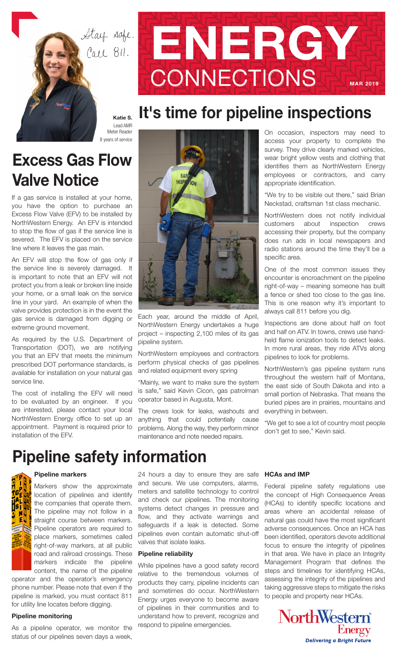Stay sofe. Call 811.



# It's time for pipeline inspections

Katie S. Lead AMR Meter Reader 8 years of service

### Excess Gas Flow Valve Notice

If a gas service is installed at your home, you have the option to purchase an Excess Flow Valve (EFV) to be installed by NorthWestern Energy. An EFV is intended to stop the flow of gas if the service line is severed. The EFV is placed on the service line where it leaves the gas main.

An EFV will stop the flow of gas only if the service line is severely damaged. It is important to note that an EFV will not protect you from a leak or broken line inside your home, or a small leak on the service line in your yard. An example of when the valve provides protection is in the event the gas service is damaged from digging or extreme ground movement.

As required by the U.S. Department of Transportation (DOT), we are notifying you that an EFV that meets the minimum prescribed DOT performance standards, is available for installation on your natural gas service line.

The cost of installing the EFV will need to be evaluated by an engineer. If you are interested, please contact your local NorthWestern Energy office to set up an appointment. Payment is required prior to installation of the EFV.



Each year, around the middle of April, NorthWestern Energy undertakes a huge project – inspecting 2,100 miles of its gas pipeline system.

NorthWestern employees and contractors perform physical checks of gas pipelines and related equipment every spring

"Mainly, we want to make sure the system is safe," said Kevin Cicon, gas patrolman operator based in Augusta, Mont.

The crews look for leaks, washouts and anything that could potentially cause problems. Along the way, they perform minor maintenance and note needed repairs.

On occasion, inspectors may need to access your property to complete the survey. They drive clearly marked vehicles, wear bright yellow vests and clothing that identifies them as NorthWestern Energy employees or contractors, and carry appropriate identification.

"We try to be visible out there," said Brian Neckstad, craftsman 1st class mechanic.

NorthWestern does not notify individual customers about inspection crews accessing their property, but the company does run ads in local newspapers and radio stations around the time they'll be a specific area.

One of the most common issues they encounter is encroachment on the pipeline right-of-way – meaning someone has built a fence or shed too close to the gas line. This is one reason why it's important to always call 811 before you dig.

Inspections are done about half on foot and half on ATV. In towns, crews use handheld flame ionization tools to detect leaks. In more rural areas, they ride ATVs along pipelines to look for problems.

NorthWestern's gas pipeline system runs throughout the western half of Montana, the east side of South Dakota and into a small portion of Nebraska. That means the buried pipes are in prairies, mountains and everything in between.

"We get to see a lot of country most people don't get to see," Kevin said.

## Pipeline safety information

### Pipeline markers

Markers show the approximate location of pipelines and identify  $\frac{1}{2}$  of the companies that operate them. The pipeline may not follow in a straight course between markers. Pipeline operators are required to place markers, sometimes called right-of-way markers, at all public road and railroad crossings. These markers indicate the pipeline content, the name of the pipeline

operator and the operator's emergency phone number. Please note that even if the pipeline is marked, you must contact 811 for utility line locates before digging.

### Pipeline monitoring

As a pipeline operator, we monitor the status of our pipelines seven days a week,

24 hours a day to ensure they are safe and secure. We use computers, alarms, meters and satellite technology to control and check our pipelines. The monitoring systems detect changes in pressure and flow, and they activate warnings and safeguards if a leak is detected. Some pipelines even contain automatic shut-off valves that isolate leaks.

### Pipeline reliability

While pipelines have a good safety record relative to the tremendous volumes of products they carry, pipeline incidents can and sometimes do occur. NorthWestern Energy urges everyone to become aware of pipelines in their communities and to understand how to prevent, recognize and respond to pipeline emergencies.

### HCAs and IMP

Federal pipeline safety regulations use the concept of High Consequence Areas (HCAs) to identify specific locations and areas where an accidental release of natural gas could have the most significant adverse consequences. Once an HCA has been identified, operators devote additional focus to ensure the integrity of pipelines in that area. We have in place an Integrity Management Program that defines the steps and timelines for identifying HCAs, assessing the integrity of the pipelines and taking aggressive steps to mitigate the risks to people and property near HCAs.